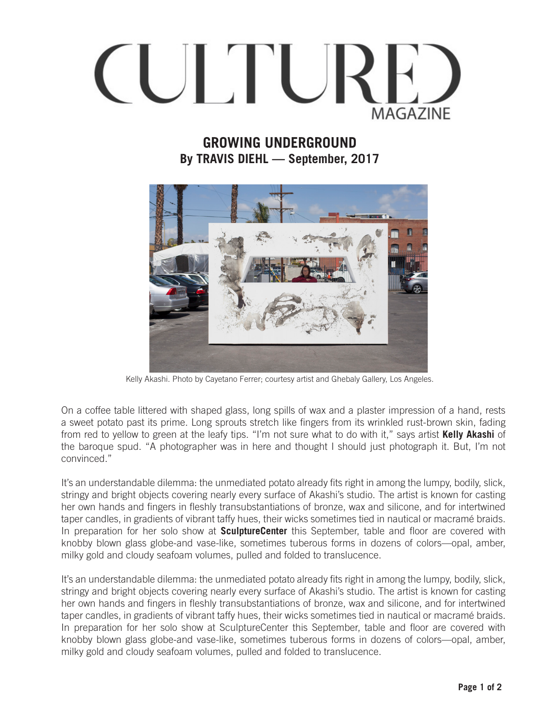

## **GROWING UNDERGROUND By TRAVIS DIEHL — September, 2017**



Kelly Akashi. Photo by Cayetano Ferrer; courtesy artist and Ghebaly Gallery, Los Angeles.

On a coffee table littered with shaped glass, long spills of wax and a plaster impression of a hand, rests a sweet potato past its prime. Long sprouts stretch like fingers from its wrinkled rust-brown skin, fading from red to yellow to green at the leafy tips. "I'm not sure what to do with it," says artist **Kelly Akashi** of the baroque spud. "A photographer was in here and thought I should just photograph it. But, I'm not convinced."

It's an understandable dilemma: the unmediated potato already fits right in among the lumpy, bodily, slick, stringy and bright objects covering nearly every surface of Akashi's studio. The artist is known for casting her own hands and fingers in fleshly transubstantiations of bronze, wax and silicone, and for intertwined taper candles, in gradients of vibrant taffy hues, their wicks sometimes tied in nautical or macramé braids. In preparation for her solo show at **SculptureCenter** this September, table and floor are covered with knobby blown glass globe-and vase-like, sometimes tuberous forms in dozens of colors—opal, amber, milky gold and cloudy seafoam volumes, pulled and folded to translucence.

It's an understandable dilemma: the unmediated potato already fits right in among the lumpy, bodily, slick, stringy and bright objects covering nearly every surface of Akashi's studio. The artist is known for casting her own hands and fingers in fleshly transubstantiations of bronze, wax and silicone, and for intertwined taper candles, in gradients of vibrant taffy hues, their wicks sometimes tied in nautical or macramé braids. In preparation for her solo show at SculptureCenter this September, table and floor are covered with knobby blown glass globe-and vase-like, sometimes tuberous forms in dozens of colors—opal, amber, milky gold and cloudy seafoam volumes, pulled and folded to translucence.